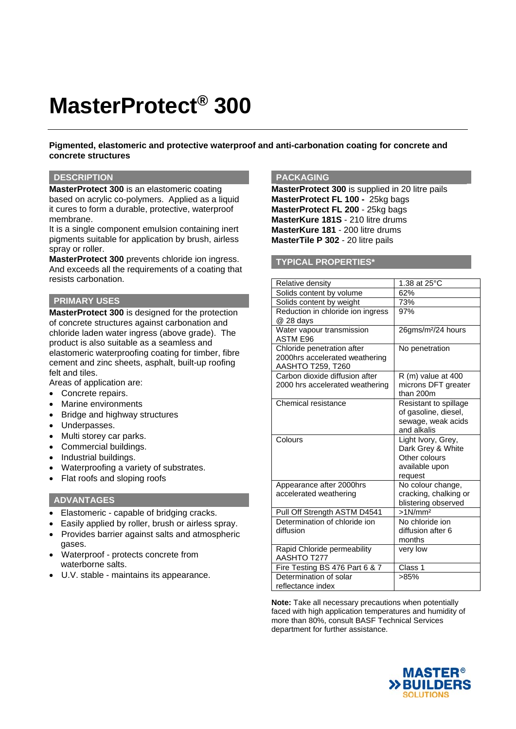# **MasterProtect® 300**

**Pigmented, elastomeric and protective waterproof and anti-carbonation coating for concrete and concrete structures** 

#### **DESCRIPTION**

**MasterProtect 300** is an elastomeric coating based on acrylic co-polymers. Applied as a liquid it cures to form a durable, protective, waterproof membrane.

It is a single component emulsion containing inert pigments suitable for application by brush, airless spray or roller.

**MasterProtect 300** prevents chloride ion ingress. And exceeds all the requirements of a coating that resists carbonation.

## **PRIMARY USES**

**MasterProtect 300** is designed for the protection of concrete structures against carbonation and chloride laden water ingress (above grade). The product is also suitable as a seamless and elastomeric waterproofing coating for timber, fibre cement and zinc sheets, asphalt, built-up roofing felt and tiles.

Areas of application are:

- Concrete repairs.
- Marine environments
- Bridge and highway structures
- Underpasses.
- Multi storey car parks.
- Commercial buildings.
- Industrial buildings.
- Waterproofing a variety of substrates.
- Flat roofs and sloping roofs

#### **ADVANTAGES**

- Elastomeric capable of bridging cracks.
- Easily applied by roller, brush or airless spray.
- Provides barrier against salts and atmospheric gases.
- Waterproof protects concrete from waterborne salts.
- U.V. stable maintains its appearance.

## **PACKAGING**

**MasterProtect 300** is supplied in 20 litre pails **MasterProtect FL 100 -** 25kg bags **MasterProtect FL 200** - 25kg bags **MasterKure 181S** - 210 litre drums **MasterKure 181** - 200 litre drums **MasterTile P 302** - 20 litre pails

#### **TYPICAL PROPERTIES\***

| Relative density                                                                  | 1.38 at 25°C                                                                          |
|-----------------------------------------------------------------------------------|---------------------------------------------------------------------------------------|
| Solids content by volume                                                          | 62%                                                                                   |
| Solids content by weight                                                          | 73%                                                                                   |
| Reduction in chloride ion ingress<br>@ 28 days                                    | 97%                                                                                   |
| Water vapour transmission<br><b>ASTM E96</b>                                      | 26gms/m <sup>2</sup> /24 hours                                                        |
| Chloride penetration after<br>2000hrs accelerated weathering<br>AASHTO T259, T260 | No penetration                                                                        |
| Carbon dioxide diffusion after<br>2000 hrs accelerated weathering                 | $R$ (m) value at 400<br>microns DFT greater<br>than 200m                              |
| Chemical resistance                                                               | Resistant to spillage<br>of gasoline, diesel,<br>sewage, weak acids<br>and alkalis    |
| Colours                                                                           | Light Ivory, Grey,<br>Dark Grey & White<br>Other colours<br>available upon<br>request |
| Appearance after 2000hrs<br>accelerated weathering                                | No colour change,<br>cracking, chalking or<br>blistering observed                     |
| Pull Off Strength ASTM D4541                                                      | $>1$ N/mm <sup>2</sup>                                                                |
| Determination of chloride ion<br>diffusion                                        | No chloride ion<br>diffusion after 6<br>months                                        |
| Rapid Chloride permeability<br>AASHTO T277                                        | very low                                                                              |
| Fire Testing BS 476 Part 6 & 7                                                    | Class 1                                                                               |
| Determination of solar<br>reflectance index                                       | >85%                                                                                  |

**Note:** Take all necessary precautions when potentially faced with high application temperatures and humidity of more than 80%, consult BASF Technical Services department for further assistance.

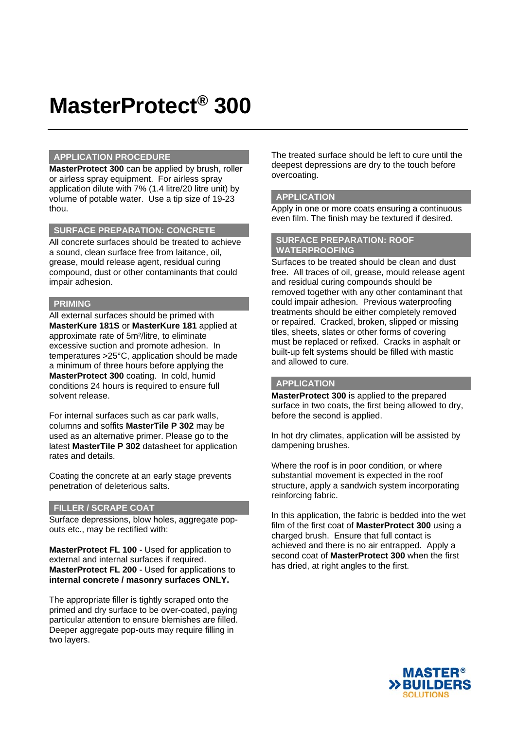## **MasterProtect® 300**

#### **APPLICATION PROCEDURE**

**MasterProtect 300** can be applied by brush, roller or airless spray equipment. For airless spray application dilute with 7% (1.4 litre/20 litre unit) by volume of potable water. Use a tip size of 19-23 thou.

## **SURFACE PREPARATION: CONCRETE**

All concrete surfaces should be treated to achieve a sound, clean surface free from laitance, oil, grease, mould release agent, residual curing compound, dust or other contaminants that could impair adhesion.

## **PRIMING**

All external surfaces should be primed with **MasterKure 181S** or **MasterKure 181** applied at approximate rate of 5m²/litre, to eliminate excessive suction and promote adhesion. In temperatures >25°C, application should be made a minimum of three hours before applying the **MasterProtect 300** coating. In cold, humid conditions 24 hours is required to ensure full solvent release.

For internal surfaces such as car park walls, columns and soffits **MasterTile P 302** may be used as an alternative primer. Please go to the latest **MasterTile P 302** datasheet for application rates and details.

Coating the concrete at an early stage prevents penetration of deleterious salts.

## **FILLER / SCRAPE COAT**

Surface depressions, blow holes, aggregate popouts etc., may be rectified with:

**MasterProtect FL 100** - Used for application to external and internal surfaces if required. **MasterProtect FL 200** - Used for applications to **internal concrete / masonry surfaces ONLY.** 

The appropriate filler is tightly scraped onto the primed and dry surface to be over-coated, paying particular attention to ensure blemishes are filled. Deeper aggregate pop-outs may require filling in two layers.

The treated surface should be left to cure until the deepest depressions are dry to the touch before overcoating.

## **APPLICATION**

Apply in one or more coats ensuring a continuous even film. The finish may be textured if desired.

#### **SURFACE PREPARATION: ROOF WATERPROOFING**

Surfaces to be treated should be clean and dust free. All traces of oil, grease, mould release agent and residual curing compounds should be removed together with any other contaminant that could impair adhesion. Previous waterproofing treatments should be either completely removed or repaired. Cracked, broken, slipped or missing tiles, sheets, slates or other forms of covering must be replaced or refixed. Cracks in asphalt or built-up felt systems should be filled with mastic and allowed to cure.

## **APPLICATION**

**MasterProtect 300** is applied to the prepared surface in two coats, the first being allowed to dry, before the second is applied.

In hot dry climates, application will be assisted by dampening brushes.

Where the roof is in poor condition, or where substantial movement is expected in the roof structure, apply a sandwich system incorporating reinforcing fabric.

In this application, the fabric is bedded into the wet film of the first coat of **MasterProtect 300** using a charged brush. Ensure that full contact is achieved and there is no air entrapped. Apply a second coat of **MasterProtect 300** when the first has dried, at right angles to the first.